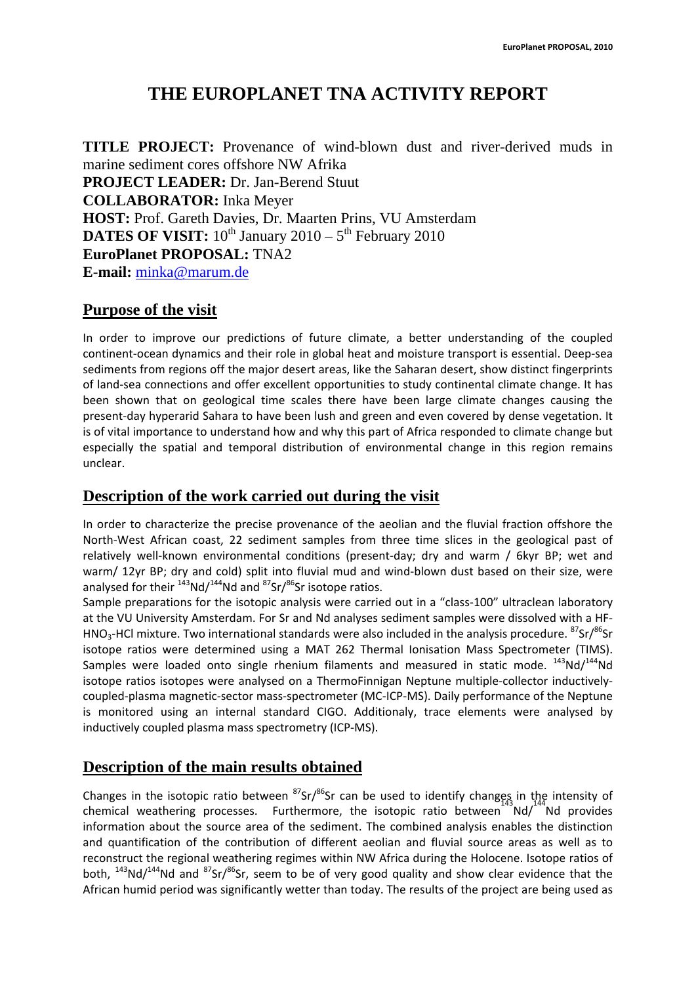## **THE EUROPLANET TNA ACTIVITY REPORT**

**TITLE PROJECT:** Provenance of wind-blown dust and river-derived muds in marine sediment cores offshore NW Afrika **PROJECT LEADER:** Dr. Jan-Berend Stuut **COLLABORATOR:** Inka Meyer **HOST:** Prof. Gareth Davies, Dr. Maarten Prins, VU Amsterdam **DATES OF VISIT:**  $10^{th}$  January  $2010 - 5^{th}$  February 2010 **EuroPlanet PROPOSAL:** TNA2 **E-mail:** minka@marum.de

## **Purpose of the visit**

In order to improve our predictions of future climate, a better understanding of the coupled continent‐ocean dynamics and their role in global heat and moisture transport is essential. Deep‐sea sediments from regions off the major desert areas, like the Saharan desert, show distinct fingerprints of land‐sea connections and offer excellent opportunities to study continental climate change. It has been shown that on geological time scales there have been large climate changes causing the present‐day hyperarid Sahara to have been lush and green and even covered by dense vegetation. It is of vital importance to understand how and why this part of Africa responded to climate change but especially the spatial and temporal distribution of environmental change in this region remains unclear.

## **Description of the work carried out during the visit**

In order to characterize the precise provenance of the aeolian and the fluvial fraction offshore the North‐West African coast, 22 sediment samples from three time slices in the geological past of relatively well-known environmental conditions (present-day; dry and warm / 6kyr BP; wet and warm/ 12yr BP; dry and cold) split into fluvial mud and wind-blown dust based on their size, were analysed for their  $143N d/144N d$  and  $87Sr/86Sr$  isotope ratios.

Sample preparations for the isotopic analysis were carried out in a "class-100" ultraclean laboratory at the VU University Amsterdam. For Sr and Nd analyses sediment samples were dissolved with a HF‐ HNO<sub>3</sub>-HCl mixture. Two international standards were also included in the analysis procedure.  $87$ Sr/ $86$ Sr isotope ratios were determined using a MAT 262 Thermal Ionisation Mass Spectrometer (TIMS). Samples were loaded onto single rhenium filaments and measured in static mode.  $^{143}$ Nd/ $^{144}$ Nd isotope ratios isotopes were analysed on a ThermoFinnigan Neptune multiple‐collector inductively‐ coupled‐plasma magnetic‐sector mass‐spectrometer (MC‐ICP‐MS). Daily performance of the Neptune is monitored using an internal standard CIGO. Additionaly, trace elements were analysed by inductively coupled plasma mass spectrometry (ICP‐MS).

## **Description of the main results obtained**

Changes in the isotopic ratio between  ${}^{87}Sr/{}^{86}Sr$  can be used to identify changes in the intensity of chemical weathering processes. Furthermore, the isotopic ratio between Nd/<sup>144</sup>Nd provides information about the source area of the sediment. The combined analysis enables the distinction and quantification of the contribution of different aeolian and fluvial source areas as well as to reconstruct the regional weathering regimes within NW Africa during the Holocene. Isotope ratios of both,  $^{143}$ Nd/ $^{144}$ Nd and  $^{87}$ Sr/ $^{86}$ Sr, seem to be of very good quality and show clear evidence that the African humid period was significantly wetter than today. The results of the project are being used as